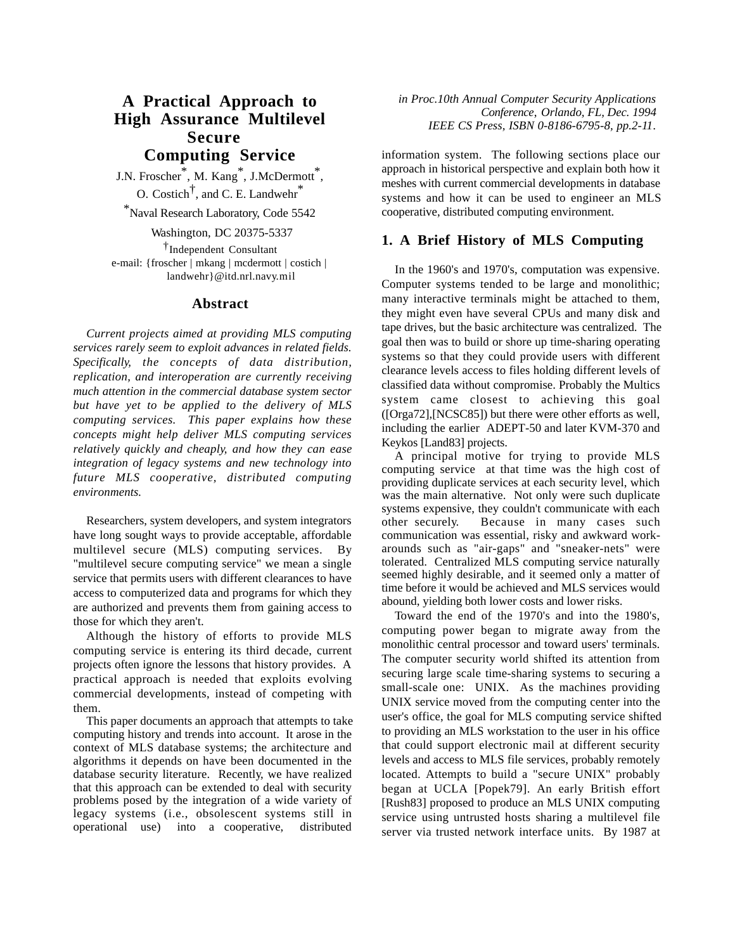# **A Practical Approach to High Assurance Multilevel Secure Computing Service**

J.N. Froscher<sup>\*</sup>, M. Kang<sup>\*</sup>, J.McDermott<sup>\*</sup>, O. Costich<sup> $\dagger$ </sup>, and C. E. Landwehr<sup>\*</sup>

\*Naval Research Laboratory, Code 5542

Washington, DC 20375-5337 †Independent Consultant e-mail: {froscher | mkang | mcdermott | costich | landwehr}@itd.nrl.navy.mil

#### **Abstract**

*Current projects aimed at providing MLS computing services rarely seem to exploit advances in related fields. Specifically, the concepts of data distribution, replication, and interoperation are currently receiving much attention in the commercial database system sector but have yet to be applied to the delivery of MLS computing services. This paper explains how these concepts might help deliver MLS computing services relatively quickly and cheaply, and how they can ease integration of legacy systems and new technology into future MLS cooperative, distributed computing environments.*

Researchers, system developers, and system integrators have long sought ways to provide acceptable, affordable multilevel secure (MLS) computing services. By "multilevel secure computing service" we mean a single service that permits users with different clearances to have access to computerized data and programs for which they are authorized and prevents them from gaining access to those for which they aren't.

Although the history of efforts to provide MLS computing service is entering its third decade, current projects often ignore the lessons that history provides. A practical approach is needed that exploits evolving commercial developments, instead of competing with them.

This paper documents an approach that attempts to take computing history and trends into account. It arose in the context of MLS database systems; the architecture and algorithms it depends on have been documented in the database security literature. Recently, we have realized that this approach can be extended to deal with security problems posed by the integration of a wide variety of legacy systems (i.e., obsolescent systems still in operational use) into a cooperative, distributed

*in Proc.10th Annual Computer Security Applications Conference*, *Orlando, FL, Dec. 1994 IEEE CS Press, ISBN 0-8186-6795-8, pp.2-11.*

information system. The following sections place our approach in historical perspective and explain both how it meshes with current commercial developments in database systems and how it can be used to engineer an MLS cooperative, distributed computing environment.

# **1. A Brief History of MLS Computing**

In the 1960's and 1970's, computation was expensive. Computer systems tended to be large and monolithic; many interactive terminals might be attached to them, they might even have several CPUs and many disk and tape drives, but the basic architecture was centralized. The goal then was to build or shore up time-sharing operating systems so that they could provide users with different clearance levels access to files holding different levels of classified data without compromise. Probably the Multics system came closest to achieving this goal ([Orga72],[NCSC85]) but there were other efforts as well, including the earlier ADEPT-50 and later KVM-370 and Keykos [Land83] projects.

A principal motive for trying to provide MLS computing service at that time was the high cost of providing duplicate services at each security level, which was the main alternative. Not only were such duplicate systems expensive, they couldn't communicate with each other securely. Because in many cases such communication was essential, risky and awkward workarounds such as "air-gaps" and "sneaker-nets" were tolerated. Centralized MLS computing service naturally seemed highly desirable, and it seemed only a matter of time before it would be achieved and MLS services would abound, yielding both lower costs and lower risks.

Toward the end of the 1970's and into the 1980's, computing power began to migrate away from the monolithic central processor and toward users' terminals. The computer security world shifted its attention from securing large scale time-sharing systems to securing a small-scale one: UNIX. As the machines providing UNIX service moved from the computing center into the user's office, the goal for MLS computing service shifted to providing an MLS workstation to the user in his office that could support electronic mail at different security levels and access to MLS file services, probably remotely located. Attempts to build a "secure UNIX" probably began at UCLA [Popek79]. An early British effort [Rush83] proposed to produce an MLS UNIX computing service using untrusted hosts sharing a multilevel file server via trusted network interface units. By 1987 at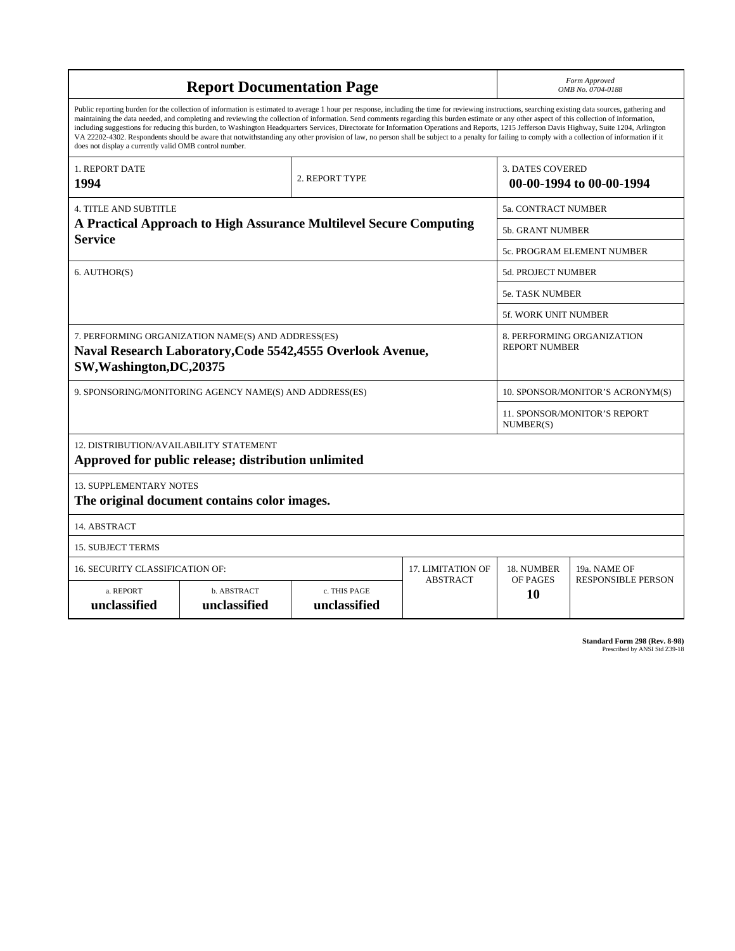| <b>Report Documentation Page</b>                                                                                                                                                                                                                                                                                                                                                                                                                                                                                                                                                                                                                                                                                                                                                                                                                                   |                             |                              |                 |                                                     | Form Approved<br>OMB No. 0704-0188                 |  |  |
|--------------------------------------------------------------------------------------------------------------------------------------------------------------------------------------------------------------------------------------------------------------------------------------------------------------------------------------------------------------------------------------------------------------------------------------------------------------------------------------------------------------------------------------------------------------------------------------------------------------------------------------------------------------------------------------------------------------------------------------------------------------------------------------------------------------------------------------------------------------------|-----------------------------|------------------------------|-----------------|-----------------------------------------------------|----------------------------------------------------|--|--|
| Public reporting burden for the collection of information is estimated to average 1 hour per response, including the time for reviewing instructions, searching existing data sources, gathering and<br>maintaining the data needed, and completing and reviewing the collection of information. Send comments regarding this burden estimate or any other aspect of this collection of information,<br>including suggestions for reducing this burden, to Washington Headquarters Services, Directorate for Information Operations and Reports, 1215 Jefferson Davis Highway, Suite 1204, Arlington<br>VA 22202-4302. Respondents should be aware that notwithstanding any other provision of law, no person shall be subject to a penalty for failing to comply with a collection of information if it<br>does not display a currently valid OMB control number. |                             |                              |                 |                                                     |                                                    |  |  |
| <b>1. REPORT DATE</b><br>1994                                                                                                                                                                                                                                                                                                                                                                                                                                                                                                                                                                                                                                                                                                                                                                                                                                      |                             | 2. REPORT TYPE               |                 | <b>3. DATES COVERED</b><br>00-00-1994 to 00-00-1994 |                                                    |  |  |
| <b>4. TITLE AND SUBTITLE</b>                                                                                                                                                                                                                                                                                                                                                                                                                                                                                                                                                                                                                                                                                                                                                                                                                                       |                             |                              |                 |                                                     | 5a. CONTRACT NUMBER                                |  |  |
| A Practical Approach to High Assurance Multilevel Secure Computing<br><b>Service</b>                                                                                                                                                                                                                                                                                                                                                                                                                                                                                                                                                                                                                                                                                                                                                                               |                             |                              |                 |                                                     | 5b. GRANT NUMBER                                   |  |  |
|                                                                                                                                                                                                                                                                                                                                                                                                                                                                                                                                                                                                                                                                                                                                                                                                                                                                    |                             |                              |                 |                                                     | 5c. PROGRAM ELEMENT NUMBER                         |  |  |
| 6. AUTHOR(S)                                                                                                                                                                                                                                                                                                                                                                                                                                                                                                                                                                                                                                                                                                                                                                                                                                                       |                             |                              |                 |                                                     | <b>5d. PROJECT NUMBER</b>                          |  |  |
|                                                                                                                                                                                                                                                                                                                                                                                                                                                                                                                                                                                                                                                                                                                                                                                                                                                                    |                             |                              |                 |                                                     | <b>5e. TASK NUMBER</b>                             |  |  |
|                                                                                                                                                                                                                                                                                                                                                                                                                                                                                                                                                                                                                                                                                                                                                                                                                                                                    |                             |                              |                 |                                                     | <b>5f. WORK UNIT NUMBER</b>                        |  |  |
| 7. PERFORMING ORGANIZATION NAME(S) AND ADDRESS(ES)<br>Naval Research Laboratory, Code 5542, 4555 Overlook Avenue,<br>SW, Washington, DC, 20375                                                                                                                                                                                                                                                                                                                                                                                                                                                                                                                                                                                                                                                                                                                     |                             |                              |                 |                                                     | 8. PERFORMING ORGANIZATION<br><b>REPORT NUMBER</b> |  |  |
| 9. SPONSORING/MONITORING AGENCY NAME(S) AND ADDRESS(ES)                                                                                                                                                                                                                                                                                                                                                                                                                                                                                                                                                                                                                                                                                                                                                                                                            |                             |                              |                 |                                                     | 10. SPONSOR/MONITOR'S ACRONYM(S)                   |  |  |
|                                                                                                                                                                                                                                                                                                                                                                                                                                                                                                                                                                                                                                                                                                                                                                                                                                                                    |                             |                              |                 |                                                     | 11. SPONSOR/MONITOR'S REPORT<br>NUMBER(S)          |  |  |
| 12. DISTRIBUTION/AVAILABILITY STATEMENT<br>Approved for public release; distribution unlimited                                                                                                                                                                                                                                                                                                                                                                                                                                                                                                                                                                                                                                                                                                                                                                     |                             |                              |                 |                                                     |                                                    |  |  |
| <b>13. SUPPLEMENTARY NOTES</b><br>The original document contains color images.                                                                                                                                                                                                                                                                                                                                                                                                                                                                                                                                                                                                                                                                                                                                                                                     |                             |                              |                 |                                                     |                                                    |  |  |
| 14. ABSTRACT                                                                                                                                                                                                                                                                                                                                                                                                                                                                                                                                                                                                                                                                                                                                                                                                                                                       |                             |                              |                 |                                                     |                                                    |  |  |
| <b>15. SUBJECT TERMS</b>                                                                                                                                                                                                                                                                                                                                                                                                                                                                                                                                                                                                                                                                                                                                                                                                                                           |                             |                              |                 |                                                     |                                                    |  |  |
| <b>16. SECURITY CLASSIFICATION OF:</b>                                                                                                                                                                                                                                                                                                                                                                                                                                                                                                                                                                                                                                                                                                                                                                                                                             | 17. LIMITATION OF           | 18. NUMBER                   | 19a. NAME OF    |                                                     |                                                    |  |  |
| a. REPORT<br>unclassified                                                                                                                                                                                                                                                                                                                                                                                                                                                                                                                                                                                                                                                                                                                                                                                                                                          | b. ABSTRACT<br>unclassified | c. THIS PAGE<br>unclassified | <b>ABSTRACT</b> | OF PAGES<br>10                                      | <b>RESPONSIBLE PERSON</b>                          |  |  |

| <b>Standard Form 298 (Rev. 8-98)</b> |                               |  |  |
|--------------------------------------|-------------------------------|--|--|
|                                      | Prescribed by ANSI Std Z39-18 |  |  |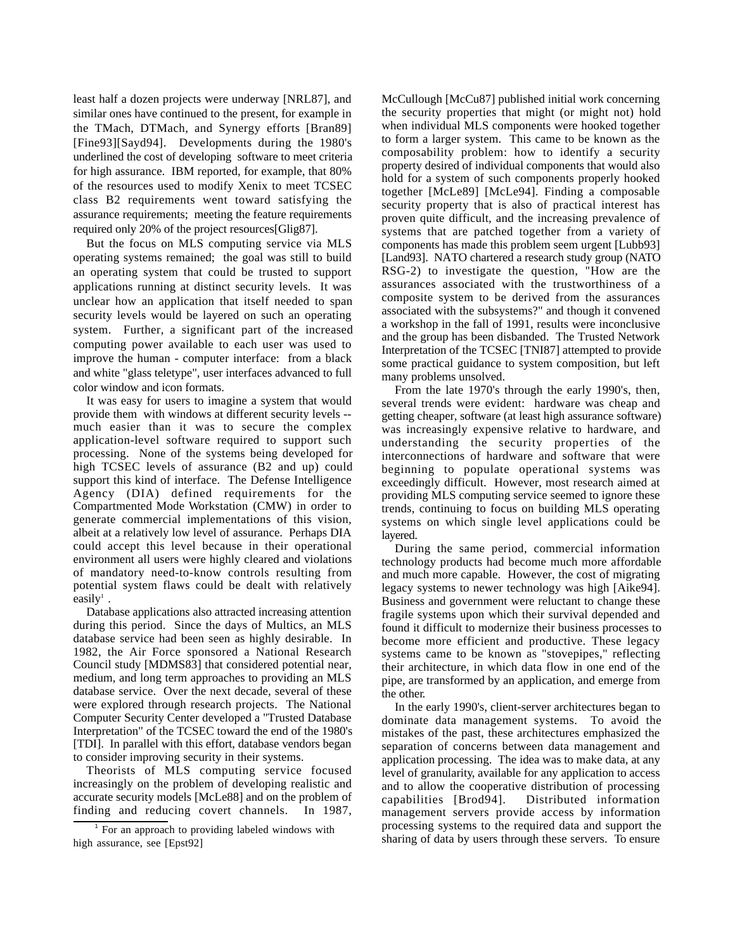least half a dozen projects were underway [NRL87], and similar ones have continued to the present, for example in the TMach, DTMach, and Synergy efforts [Bran89] [Fine93][Sayd94]. Developments during the 1980's underlined the cost of developing software to meet criteria for high assurance. IBM reported, for example, that 80% of the resources used to modify Xenix to meet TCSEC class B2 requirements went toward satisfying the assurance requirements; meeting the feature requirements required only 20% of the project resources[Glig87].

But the focus on MLS computing service via MLS operating systems remained; the goal was still to build an operating system that could be trusted to support applications running at distinct security levels. It was unclear how an application that itself needed to span security levels would be layered on such an operating system. Further, a significant part of the increased computing power available to each user was used to improve the human - computer interface: from a black and white "glass teletype", user interfaces advanced to full color window and icon formats.

It was easy for users to imagine a system that would provide them with windows at different security levels - much easier than it was to secure the complex application-level software required to support such processing. None of the systems being developed for high TCSEC levels of assurance (B2 and up) could support this kind of interface. The Defense Intelligence Agency (DIA) defined requirements for the Compartmented Mode Workstation (CMW) in order to generate commercial implementations of this vision, albeit at a relatively low level of assurance. Perhaps DIA could accept this level because in their operational environment all users were highly cleared and violations of mandatory need-to-know controls resulting from potential system flaws could be dealt with relatively easily<sup>1</sup>.

Database applications also attracted increasing attention during this period. Since the days of Multics, an MLS database service had been seen as highly desirable. In 1982, the Air Force sponsored a National Research Council study [MDMS83] that considered potential near, medium, and long term approaches to providing an MLS database service. Over the next decade, several of these were explored through research projects. The National Computer Security Center developed a "Trusted Database Interpretation" of the TCSEC toward the end of the 1980's [TDI]. In parallel with this effort, database vendors began to consider improving security in their systems.

Theorists of MLS computing service focused increasingly on the problem of developing realistic and accurate security models [McLe88] and on the problem of finding and reducing covert channels. In 1987,

McCullough [McCu87] published initial work concerning the security properties that might (or might not) hold when individual MLS components were hooked together to form a larger system. This came to be known as the composability problem: how to identify a security property desired of individual components that would also hold for a system of such components properly hooked together [McLe89] [McLe94]. Finding a composable security property that is also of practical interest has proven quite difficult, and the increasing prevalence of systems that are patched together from a variety of components has made this problem seem urgent [Lubb93] [Land93]. NATO chartered a research study group (NATO RSG-2) to investigate the question, "How are the assurances associated with the trustworthiness of a composite system to be derived from the assurances associated with the subsystems?" and though it convened a workshop in the fall of 1991, results were inconclusive and the group has been disbanded. The Trusted Network Interpretation of the TCSEC [TNI87] attempted to provide some practical guidance to system composition, but left many problems unsolved.

From the late 1970's through the early 1990's, then, several trends were evident: hardware was cheap and getting cheaper, software (at least high assurance software) was increasingly expensive relative to hardware, and understanding the security properties of the interconnections of hardware and software that were beginning to populate operational systems was exceedingly difficult. However, most research aimed at providing MLS computing service seemed to ignore these trends, continuing to focus on building MLS operating systems on which single level applications could be layered.

During the same period, commercial information technology products had become much more affordable and much more capable. However, the cost of migrating legacy systems to newer technology was high [Aike94]. Business and government were reluctant to change these fragile systems upon which their survival depended and found it difficult to modernize their business processes to become more efficient and productive. These legacy systems came to be known as "stovepipes," reflecting their architecture, in which data flow in one end of the pipe, are transformed by an application, and emerge from the other.

In the early 1990's, client-server architectures began to dominate data management systems. To avoid the mistakes of the past, these architectures emphasized the separation of concerns between data management and application processing. The idea was to make data, at any level of granularity, available for any application to access and to allow the cooperative distribution of processing capabilities [Brod94]. Distributed information management servers provide access by information processing systems to the required data and support the sharing of data by users through these servers. To ensure

<sup>&</sup>lt;sup>1</sup> For an approach to providing labeled windows with high assurance, see [Epst92]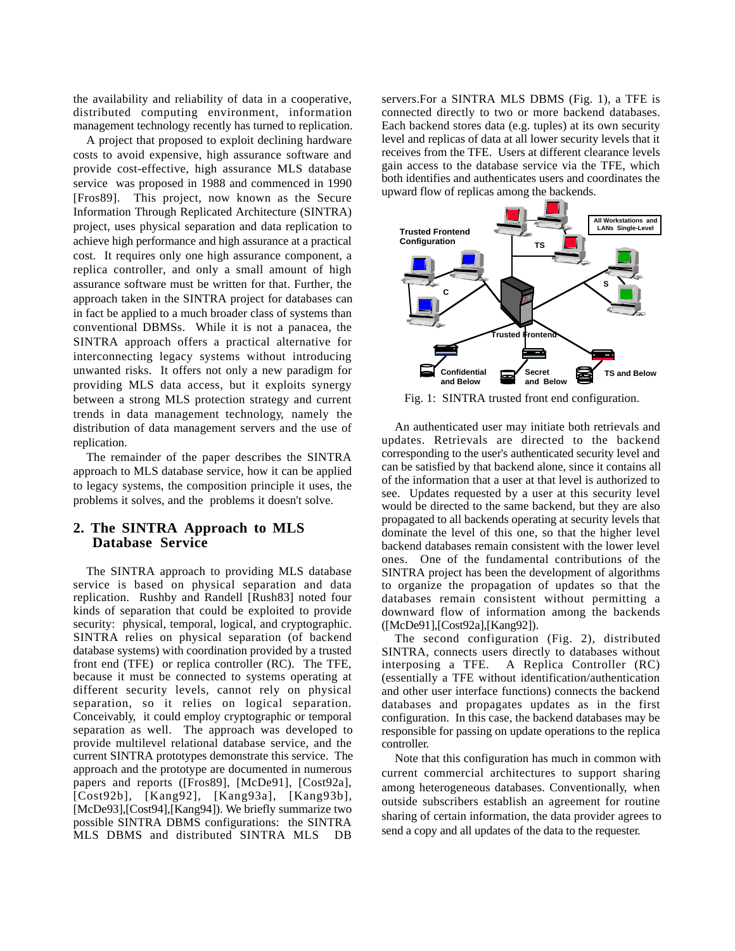the availability and reliability of data in a cooperative, distributed computing environment, information management technology recently has turned to replication.

A project that proposed to exploit declining hardware costs to avoid expensive, high assurance software and provide cost-effective, high assurance MLS database service was proposed in 1988 and commenced in 1990 [Fros89]. This project, now known as the Secure Information Through Replicated Architecture (SINTRA) project, uses physical separation and data replication to achieve high performance and high assurance at a practical cost. It requires only one high assurance component, a replica controller, and only a small amount of high assurance software must be written for that. Further, the approach taken in the SINTRA project for databases can in fact be applied to a much broader class of systems than conventional DBMSs. While it is not a panacea, the SINTRA approach offers a practical alternative for interconnecting legacy systems without introducing unwanted risks. It offers not only a new paradigm for providing MLS data access, but it exploits synergy between a strong MLS protection strategy and current trends in data management technology, namely the distribution of data management servers and the use of replication.

The remainder of the paper describes the SINTRA approach to MLS database service, how it can be applied to legacy systems, the composition principle it uses, the problems it solves, and the problems it doesn't solve.

# **2. The SINTRA Approach to MLS Database Service**

The SINTRA approach to providing MLS database service is based on physical separation and data replication. Rushby and Randell [Rush83] noted four kinds of separation that could be exploited to provide security: physical, temporal, logical, and cryptographic. SINTRA relies on physical separation (of backend database systems) with coordination provided by a trusted front end (TFE) or replica controller (RC). The TFE, because it must be connected to systems operating at different security levels, cannot rely on physical separation, so it relies on logical separation. Conceivably, it could employ cryptographic or temporal separation as well. The approach was developed to provide multilevel relational database service, and the current SINTRA prototypes demonstrate this service. The approach and the prototype are documented in numerous papers and reports ([Fros89], [McDe91], [Cost92a], [Cost92b], [Kang92], [Kang93a], [Kang93b], [McDe93],[Cost94],[Kang94]). We briefly summarize two possible SINTRA DBMS configurations: the SINTRA MLS DBMS and distributed SINTRA MLS DB

servers.For a SINTRA MLS DBMS (Fig. 1), a TFE is connected directly to two or more backend databases. Each backend stores data (e.g. tuples) at its own security level and replicas of data at all lower security levels that it receives from the TFE. Users at different clearance levels gain access to the database service via the TFE, which both identifies and authenticates users and coordinates the upward flow of replicas among the backends.



Fig. 1: SINTRA trusted front end configuration.

An authenticated user may initiate both retrievals and updates. Retrievals are directed to the backend corresponding to the user's authenticated security level and can be satisfied by that backend alone, since it contains all of the information that a user at that level is authorized to see. Updates requested by a user at this security level would be directed to the same backend, but they are also propagated to all backends operating at security levels that dominate the level of this one, so that the higher level backend databases remain consistent with the lower level ones. One of the fundamental contributions of the SINTRA project has been the development of algorithms to organize the propagation of updates so that the databases remain consistent without permitting a downward flow of information among the backends ([McDe91],[Cost92a],[Kang92]).

The second configuration (Fig. 2), distributed SINTRA, connects users directly to databases without interposing a TFE. A Replica Controller (RC) (essentially a TFE without identification/authentication and other user interface functions) connects the backend databases and propagates updates as in the first configuration. In this case, the backend databases may be responsible for passing on update operations to the replica controller.

Note that this configuration has much in common with current commercial architectures to support sharing among heterogeneous databases. Conventionally, when outside subscribers establish an agreement for routine sharing of certain information, the data provider agrees to send a copy and all updates of the data to the requester.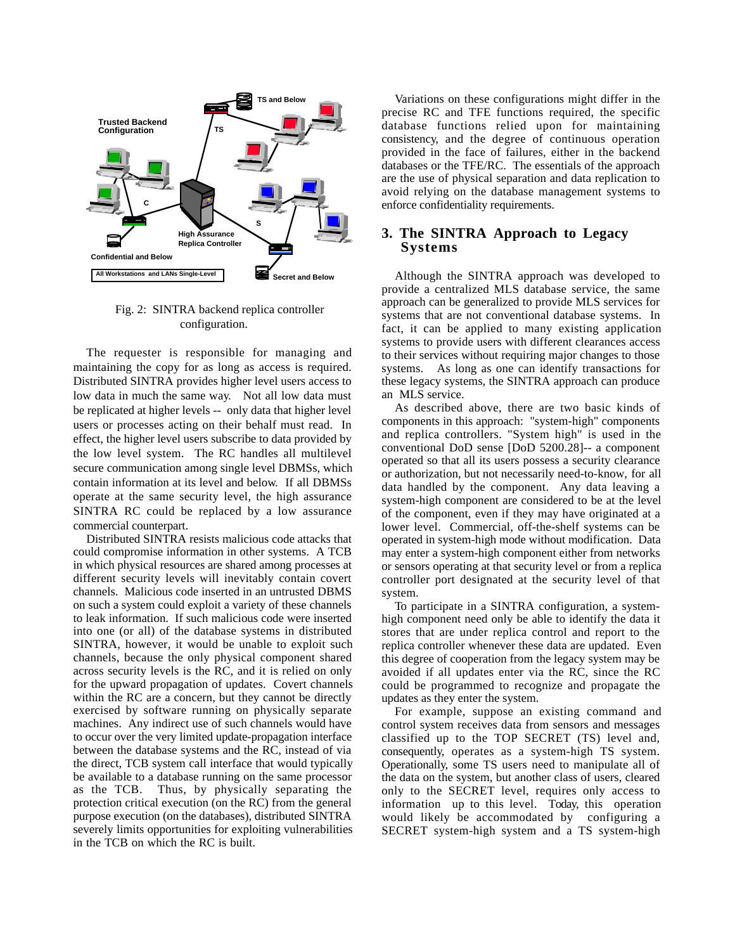

Fig. 2: SINTRA backend replica controller configuration.

The requester is responsible for managing and maintaining the copy for as long as access is required. Distributed SINTRA provides higher level users access to low data in much the same way. Not all low data must be replicated at higher levels -- only data that higher level users or processes acting on their behalf must read. In effect, the higher level users subscribe to data provided by the low level system. The RC handles all multilevel secure communication among single level DBMSs, which contain information at its level and below. If all DBMSs operate at the same security level, the high assurance SINTRA RC could be replaced by a low assurance commercial counterpart.

Distributed SINTRA resists malicious code attacks that could compromise information in other systems. A TCB in which physical resources are shared among processes at different security levels will inevitably contain covert channels. Malicious code inserted in an untrusted DBMS on such a system could exploit a variety of these channels to leak information. If such malicious code were inserted into one (or all) of the database systems in distributed SINTRA, however, it would be unable to exploit such channels, because the only physical component shared across security levels is the RC, and it is relied on only for the upward propagation of updates. Covert channels within the RC are a concern, but they cannot be directly exercised by software running on physically separate machines. Any indirect use of such channels would have to occur over the very limited update-propagation interface between the database systems and the RC, instead of via the direct, TCB system call interface that would typically be available to a database running on the same processor as the TCB. Thus, by physically separating the protection critical execution (on the RC) from the general purpose execution (on the databases), distributed SINTRA severely limits opportunities for exploiting vulnerabilities in the TCB on which the RC is built.

Variations on these configurations might differ in the precise RC and TFE functions required, the specific database functions relied upon for maintaining consistency, and the degree of continuous operation provided in the face of failures, either in the backend databases or the TFE/RC. The essentials of the approach are the use of physical separation and data replication to avoid relying on the database management systems to enforce confidentiality requirements.

# **3. The SINTRA Approach to Legacy Systems**

Although the SINTRA approach was developed to provide a centralized MLS database service, the same approach can be generalized to provide MLS services for systems that are not conventional database systems. In fact, it can be applied to many existing application systems to provide users with different clearances access to their services without requiring major changes to those systems. As long as one can identify transactions for these legacy systems, the SINTRA approach can produce an MLS service.

As described above, there are two basic kinds of components in this approach: "system-high" components and replica controllers. "System high" is used in the conventional DoD sense [DoD 5200.28]-- a component operated so that all its users possess a security clearance or authorization, but not necessarily need-to-know, for all data handled by the component. Any data leaving a system-high component are considered to be at the level of the component, even if they may have originated at a lower level. Commercial, off-the-shelf systems can be operated in system-high mode without modification. Data may enter a system-high component either from networks or sensors operating at that security level or from a replica controller port designated at the security level of that system.

To participate in a SINTRA configuration, a systemhigh component need only be able to identify the data it stores that are under replica control and report to the replica controller whenever these data are updated. Even this degree of cooperation from the legacy system may be avoided if all updates enter via the RC, since the RC could be programmed to recognize and propagate the updates as they enter the system.

For example, suppose an existing command and control system receives data from sensors and messages classified up to the TOP SECRET (TS) level and, consequently, operates as a system-high TS system. Operationally, some TS users need to manipulate all of the data on the system, but another class of users, cleared only to the SECRET level, requires only access to information up to this level. Today, this operation would likely be accommodated by configuring a SECRET system-high system and a TS system-high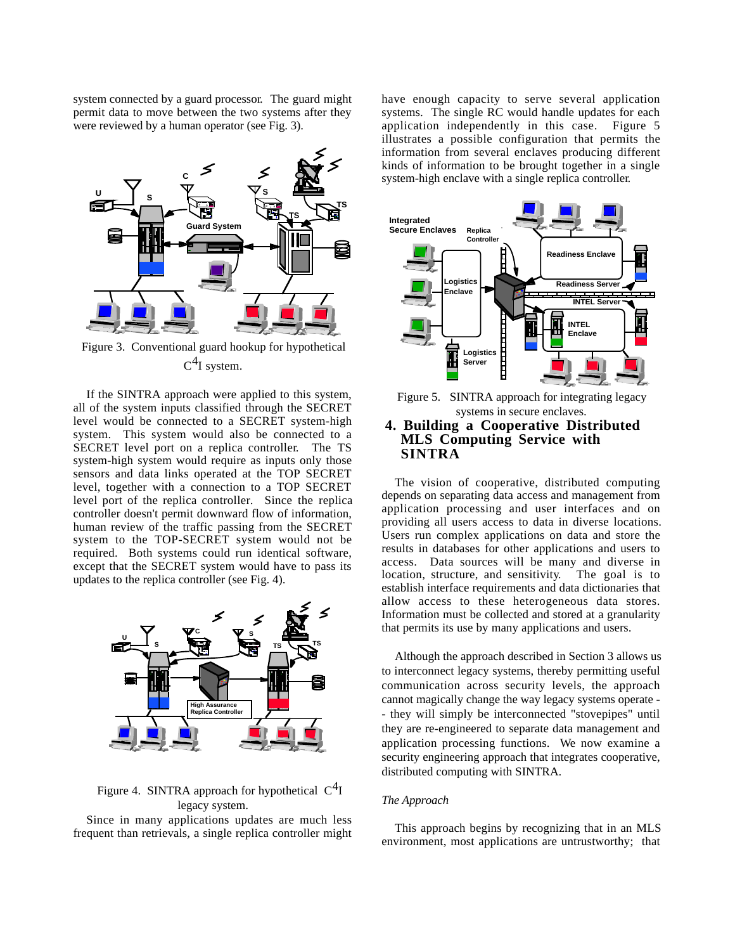system connected by a guard processor. The guard might permit data to move between the two systems after they were reviewed by a human operator (see Fig. 3).



Figure 3. Conventional guard hookup for hypothetical  $C<sup>4</sup>I$  system.

If the SINTRA approach were applied to this system, all of the system inputs classified through the SECRET level would be connected to a SECRET system-high system. This system would also be connected to a SECRET level port on a replica controller. The TS system-high system would require as inputs only those sensors and data links operated at the TOP SECRET level, together with a connection to a TOP SECRET level port of the replica controller. Since the replica controller doesn't permit downward flow of information, human review of the traffic passing from the SECRET system to the TOP-SECRET system would not be required. Both systems could run identical software, except that the SECRET system would have to pass its updates to the replica controller (see Fig. 4).



Figure 4. SINTRA approach for hypothetical  $C<sup>4</sup>I$ legacy system.

Since in many applications updates are much less frequent than retrievals, a single replica controller might have enough capacity to serve several application systems. The single RC would handle updates for each application independently in this case. Figure 5 illustrates a possible configuration that permits the information from several enclaves producing different kinds of information to be brought together in a single system-high enclave with a single replica controller.



systems in secure enclaves.

# **4. Building a Cooperative Distributed MLS Computing Service with SINTRA**

The vision of cooperative, distributed computing depends on separating data access and management from application processing and user interfaces and on providing all users access to data in diverse locations. Users run complex applications on data and store the results in databases for other applications and users to access. Data sources will be many and diverse in location, structure, and sensitivity. The goal is to establish interface requirements and data dictionaries that allow access to these heterogeneous data stores. Information must be collected and stored at a granularity that permits its use by many applications and users.

Although the approach described in Section 3 allows us to interconnect legacy systems, thereby permitting useful communication across security levels, the approach cannot magically change the way legacy systems operate - - they will simply be interconnected "stovepipes" until they are re-engineered to separate data management and application processing functions. We now examine a security engineering approach that integrates cooperative, distributed computing with SINTRA.

# *The Approach*

This approach begins by recognizing that in an MLS environment, most applications are untrustworthy; that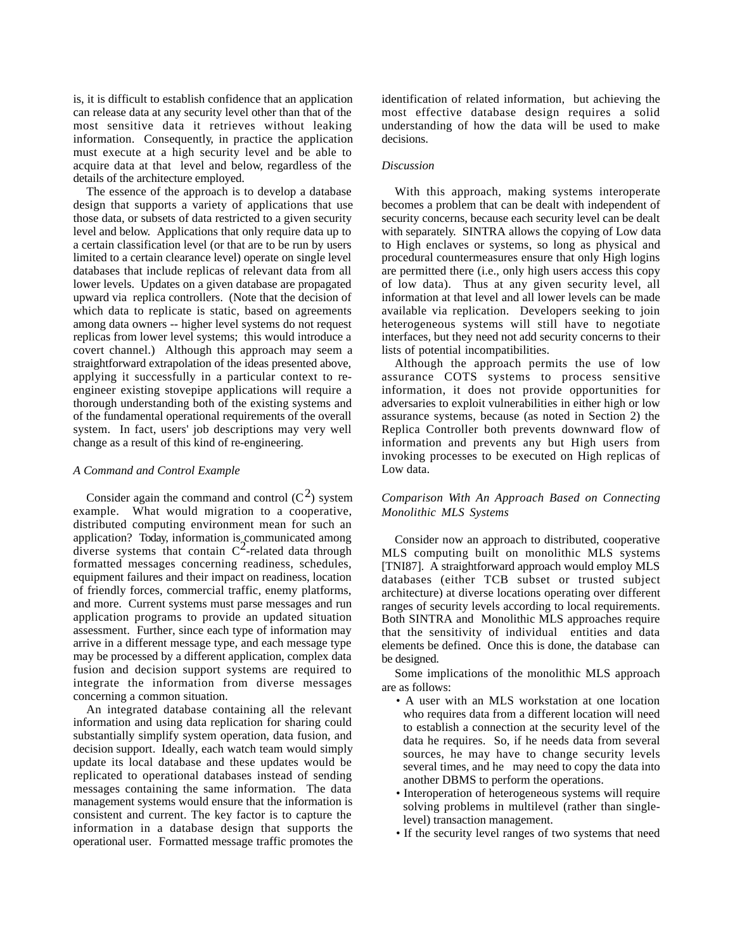is, it is difficult to establish confidence that an application can release data at any security level other than that of the most sensitive data it retrieves without leaking information. Consequently, in practice the application must execute at a high security level and be able to acquire data at that level and below, regardless of the details of the architecture employed.

The essence of the approach is to develop a database design that supports a variety of applications that use those data, or subsets of data restricted to a given security level and below. Applications that only require data up to a certain classification level (or that are to be run by users limited to a certain clearance level) operate on single level databases that include replicas of relevant data from all lower levels. Updates on a given database are propagated upward via replica controllers. (Note that the decision of which data to replicate is static, based on agreements among data owners -- higher level systems do not request replicas from lower level systems; this would introduce a covert channel.) Although this approach may seem a straightforward extrapolation of the ideas presented above, applying it successfully in a particular context to reengineer existing stovepipe applications will require a thorough understanding both of the existing systems and of the fundamental operational requirements of the overall system. In fact, users' job descriptions may very well change as a result of this kind of re-engineering.

#### *A Command and Control Example*

Consider again the command and control  $(C^2)$  system example. What would migration to a cooperative, distributed computing environment mean for such an application? Today, information is communicated among diverse systems that contain  $C^2$ -related data through formatted messages concerning readiness, schedules, equipment failures and their impact on readiness, location of friendly forces, commercial traffic, enemy platforms, and more. Current systems must parse messages and run application programs to provide an updated situation assessment. Further, since each type of information may arrive in a different message type, and each message type may be processed by a different application, complex data fusion and decision support systems are required to integrate the information from diverse messages concerning a common situation.

An integrated database containing all the relevant information and using data replication for sharing could substantially simplify system operation, data fusion, and decision support. Ideally, each watch team would simply update its local database and these updates would be replicated to operational databases instead of sending messages containing the same information. The data management systems would ensure that the information is consistent and current. The key factor is to capture the information in a database design that supports the operational user. Formatted message traffic promotes the

identification of related information, but achieving the most effective database design requires a solid understanding of how the data will be used to make decisions.

#### *Discussion*

With this approach, making systems interoperate becomes a problem that can be dealt with independent of security concerns, because each security level can be dealt with separately. SINTRA allows the copying of Low data to High enclaves or systems, so long as physical and procedural countermeasures ensure that only High logins are permitted there (i.e., only high users access this copy of low data). Thus at any given security level, all information at that level and all lower levels can be made available via replication. Developers seeking to join heterogeneous systems will still have to negotiate interfaces, but they need not add security concerns to their lists of potential incompatibilities.

Although the approach permits the use of low assurance COTS systems to process sensitive information, it does not provide opportunities for adversaries to exploit vulnerabilities in either high or low assurance systems, because (as noted in Section 2) the Replica Controller both prevents downward flow of information and prevents any but High users from invoking processes to be executed on High replicas of Low data.

#### *Comparison With An Approach Based on Connecting Monolithic MLS Systems*

Consider now an approach to distributed, cooperative MLS computing built on monolithic MLS systems [TNI87]. A straightforward approach would employ MLS databases (either TCB subset or trusted subject architecture) at diverse locations operating over different ranges of security levels according to local requirements. Both SINTRA and Monolithic MLS approaches require that the sensitivity of individual entities and data elements be defined. Once this is done, the database can be designed.

Some implications of the monolithic MLS approach are as follows:

- A user with an MLS workstation at one location who requires data from a different location will need to establish a connection at the security level of the data he requires. So, if he needs data from several sources, he may have to change security levels several times, and he may need to copy the data into another DBMS to perform the operations.
- Interoperation of heterogeneous systems will require solving problems in multilevel (rather than singlelevel) transaction management.
- If the security level ranges of two systems that need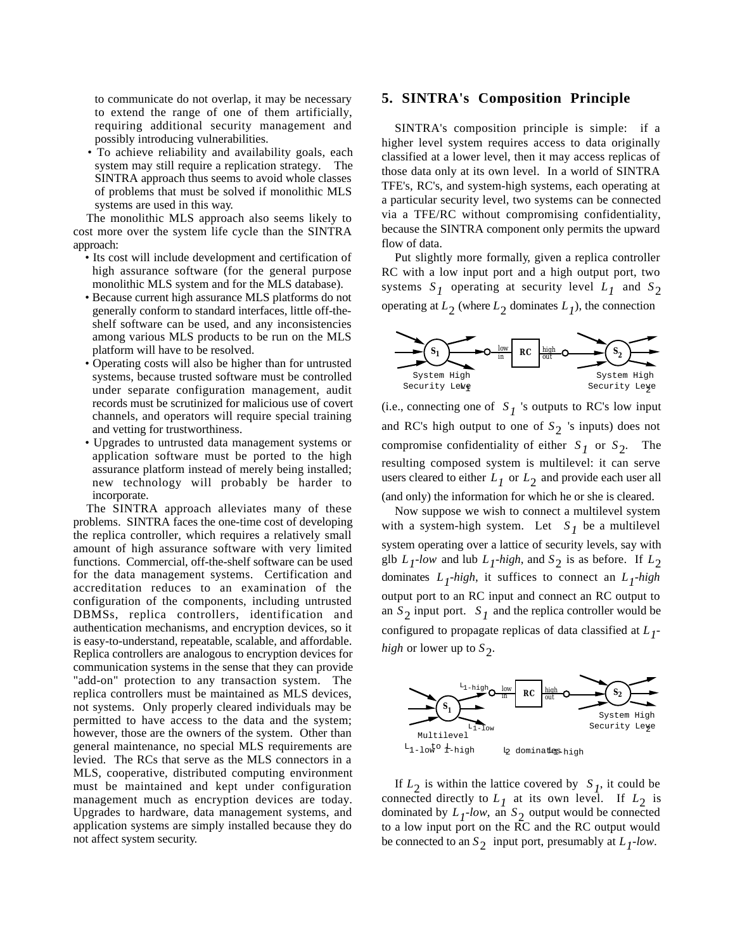to communicate do not overlap, it may be necessary to extend the range of one of them artificially, requiring additional security management and possibly introducing vulnerabilities.

• To achieve reliability and availability goals, each system may still require a replication strategy. The SINTRA approach thus seems to avoid whole classes of problems that must be solved if monolithic MLS systems are used in this way.

The monolithic MLS approach also seems likely to cost more over the system life cycle than the SINTRA approach:

- Its cost will include development and certification of high assurance software (for the general purpose monolithic MLS system and for the MLS database).
- Because current high assurance MLS platforms do not generally conform to standard interfaces, little off-theshelf software can be used, and any inconsistencies among various MLS products to be run on the MLS platform will have to be resolved.
- Operating costs will also be higher than for untrusted systems, because trusted software must be controlled under separate configuration management, audit records must be scrutinized for malicious use of covert channels, and operators will require special training and vetting for trustworthiness.
- Upgrades to untrusted data management systems or application software must be ported to the high assurance platform instead of merely being installed; new technology will probably be harder to incorporate.

The SINTRA approach alleviates many of these problems. SINTRA faces the one-time cost of developing the replica controller, which requires a relatively small amount of high assurance software with very limited functions. Commercial, off-the-shelf software can be used for the data management systems. Certification and accreditation reduces to an examination of the configuration of the components, including untrusted DBMSs, replica controllers, identification and authentication mechanisms, and encryption devices, so it is easy-to-understand, repeatable, scalable, and affordable. Replica controllers are analogous to encryption devices for communication systems in the sense that they can provide "add-on" protection to any transaction system. The replica controllers must be maintained as MLS devices, not systems. Only properly cleared individuals may be permitted to have access to the data and the system; however, those are the owners of the system. Other than general maintenance, no special MLS requirements are levied. The RCs that serve as the MLS connectors in a MLS, cooperative, distributed computing environment must be maintained and kept under configuration management much as encryption devices are today. Upgrades to hardware, data management systems, and application systems are simply installed because they do not affect system security.

# **5. SINTRA's Composition Principle**

SINTRA's composition principle is simple: if a higher level system requires access to data originally classified at a lower level, then it may access replicas of those data only at its own level. In a world of SINTRA TFE's, RC's, and system-high systems, each operating at a particular security level, two systems can be connected via a TFE/RC without compromising confidentiality, because the SINTRA component only permits the upward flow of data.

Put slightly more formally, given a replica controller RC with a low input port and a high output port, two systems  $S_1$  operating at security level  $L_1$  and  $S_2$ operating at  $L_2$  (where  $L_2$  dominates  $L_1$ ), the connection



(i.e., connecting one of  $S_I$  's outputs to RC's low input and RC's high output to one of  $S_2$  's inputs) does not compromise confidentiality of either  $S_1$  or  $S_2$ . The resulting composed system is multilevel: it can serve users cleared to either  $L_1$  or  $L_2$  and provide each user all (and only) the information for which he or she is cleared.

Now suppose we wish to connect a multilevel system with a system-high system. Let  $S_1$  be a multilevel system operating over a lattice of security levels, say with glb  $L_1$ -low and lub  $L_1$ -high, and  $S_2$  is as before. If  $L_2$ dominates  $L_1$ -high, it suffices to connect an  $L_1$ -high output port to an RC input and connect an RC output to an  $S_2$  input port.  $S_1$  and the replica controller would be configured to propagate replicas of data classified at *L1 high* or lower up to  $S_2$ .



If  $L_2$  is within the lattice covered by  $S_1$ , it could be connected directly to  $L_1$  at its own level. If  $L_2$  is dominated by  $L_1$ -low, an  $S_2$  output would be connected to a low input port on the RC and the RC output would be connected to an  $S_2$  input port, presumably at  $L_1$ -low.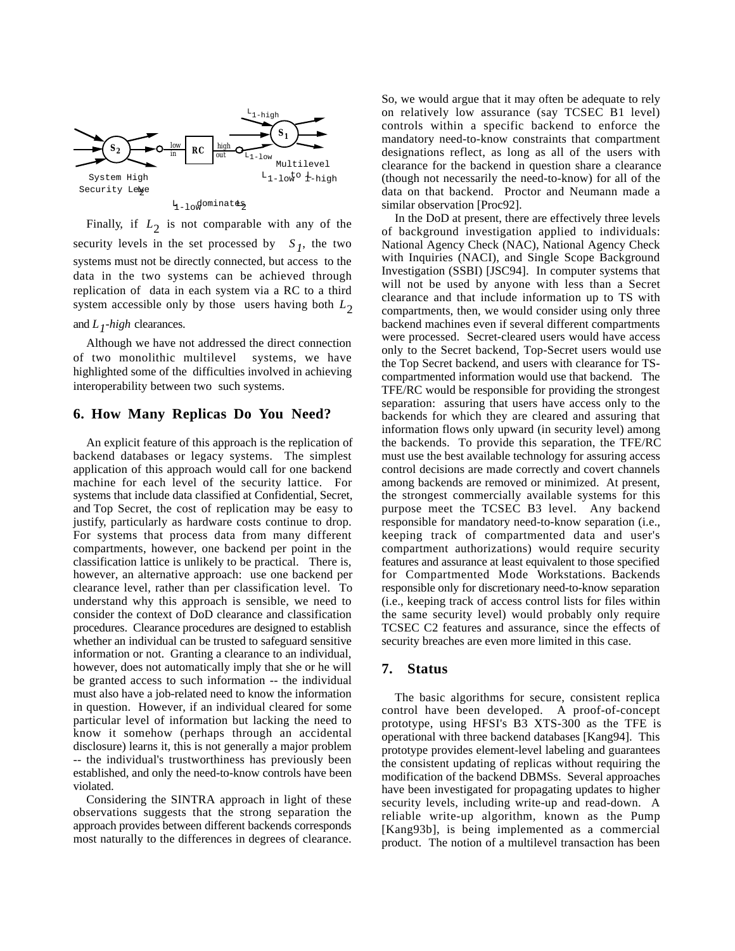

Finally, if  $L<sub>2</sub>$  is not comparable with any of the security levels in the set processed by  $S_1$ , the two systems must not be directly connected, but access to the data in the two systems can be achieved through replication of data in each system via a RC to a third system accessible only by those users having both  $L<sub>2</sub>$ 

# and  $L_1$ -high clearances.

Although we have not addressed the direct connection of two monolithic multilevel systems, we have highlighted some of the difficulties involved in achieving interoperability between two such systems.

### **6. How Many Replicas Do You Need?**

An explicit feature of this approach is the replication of backend databases or legacy systems. The simplest application of this approach would call for one backend machine for each level of the security lattice. For systems that include data classified at Confidential, Secret, and Top Secret, the cost of replication may be easy to justify, particularly as hardware costs continue to drop. For systems that process data from many different compartments, however, one backend per point in the classification lattice is unlikely to be practical. There is, however, an alternative approach: use one backend per clearance level, rather than per classification level. To understand why this approach is sensible, we need to consider the context of DoD clearance and classification procedures. Clearance procedures are designed to establish whether an individual can be trusted to safeguard sensitive information or not. Granting a clearance to an individual, however, does not automatically imply that she or he will be granted access to such information -- the individual must also have a job-related need to know the information in question. However, if an individual cleared for some particular level of information but lacking the need to know it somehow (perhaps through an accidental disclosure) learns it, this is not generally a major problem -- the individual's trustworthiness has previously been established, and only the need-to-know controls have been violated.

Considering the SINTRA approach in light of these observations suggests that the strong separation the approach provides between different backends corresponds most naturally to the differences in degrees of clearance. So, we would argue that it may often be adequate to rely on relatively low assurance (say TCSEC B1 level) controls within a specific backend to enforce the mandatory need-to-know constraints that compartment designations reflect, as long as all of the users with clearance for the backend in question share a clearance (though not necessarily the need-to-know) for all of the data on that backend. Proctor and Neumann made a similar observation [Proc92].

In the DoD at present, there are effectively three levels of background investigation applied to individuals: National Agency Check (NAC), National Agency Check with Inquiries (NACI), and Single Scope Background Investigation (SSBI) [JSC94]. In computer systems that will not be used by anyone with less than a Secret clearance and that include information up to TS with compartments, then, we would consider using only three backend machines even if several different compartments were processed. Secret-cleared users would have access only to the Secret backend, Top-Secret users would use the Top Secret backend, and users with clearance for TScompartmented information would use that backend. The TFE/RC would be responsible for providing the strongest separation: assuring that users have access only to the backends for which they are cleared and assuring that information flows only upward (in security level) among the backends. To provide this separation, the TFE/RC must use the best available technology for assuring access control decisions are made correctly and covert channels among backends are removed or minimized. At present, the strongest commercially available systems for this purpose meet the TCSEC B3 level. Any backend responsible for mandatory need-to-know separation (i.e., keeping track of compartmented data and user's compartment authorizations) would require security features and assurance at least equivalent to those specified for Compartmented Mode Workstations. Backends responsible only for discretionary need-to-know separation (i.e., keeping track of access control lists for files within the same security level) would probably only require TCSEC C2 features and assurance, since the effects of security breaches are even more limited in this case.

#### **7. Status**

The basic algorithms for secure, consistent replica control have been developed. A proof-of-concept prototype, using HFSI's B3 XTS-300 as the TFE is operational with three backend databases [Kang94]. This prototype provides element-level labeling and guarantees the consistent updating of replicas without requiring the modification of the backend DBMSs. Several approaches have been investigated for propagating updates to higher security levels, including write-up and read-down. A reliable write-up algorithm, known as the Pump [Kang93b], is being implemented as a commercial product. The notion of a multilevel transaction has been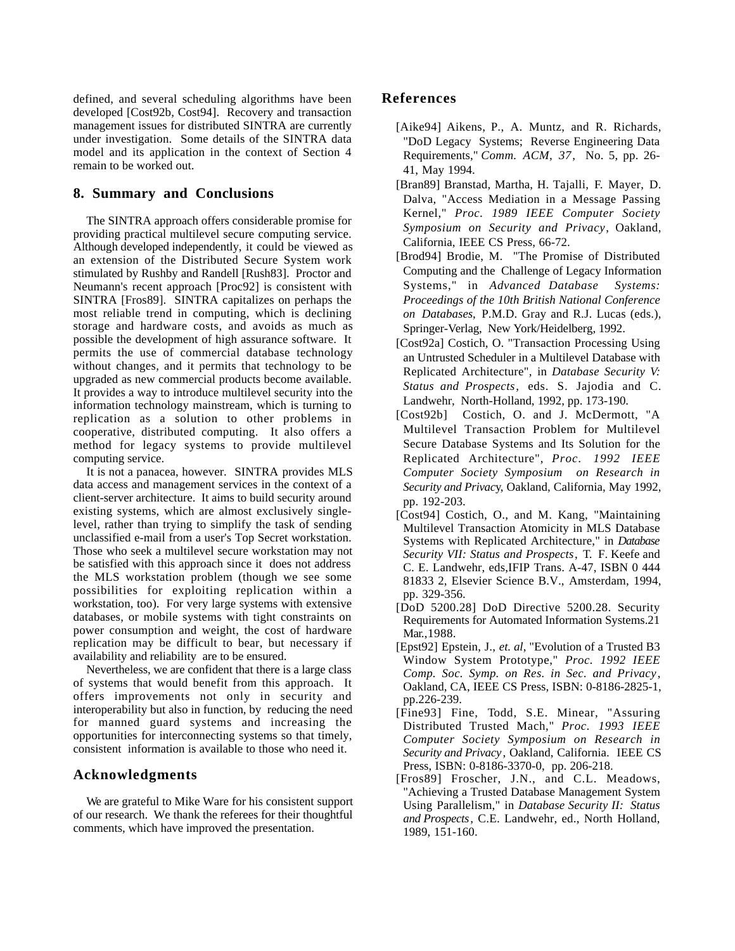defined, and several scheduling algorithms have been developed [Cost92b, Cost94]. Recovery and transaction management issues for distributed SINTRA are currently under investigation. Some details of the SINTRA data model and its application in the context of Section 4 remain to be worked out.

# **8. Summary and Conclusions**

The SINTRA approach offers considerable promise for providing practical multilevel secure computing service. Although developed independently, it could be viewed as an extension of the Distributed Secure System work stimulated by Rushby and Randell [Rush83]. Proctor and Neumann's recent approach [Proc92] is consistent with SINTRA [Fros89]. SINTRA capitalizes on perhaps the most reliable trend in computing, which is declining storage and hardware costs, and avoids as much as possible the development of high assurance software. It permits the use of commercial database technology without changes, and it permits that technology to be upgraded as new commercial products become available. It provides a way to introduce multilevel security into the information technology mainstream, which is turning to replication as a solution to other problems in cooperative, distributed computing. It also offers a method for legacy systems to provide multilevel computing service.

It is not a panacea, however. SINTRA provides MLS data access and management services in the context of a client-server architecture. It aims to build security around existing systems, which are almost exclusively singlelevel, rather than trying to simplify the task of sending unclassified e-mail from a user's Top Secret workstation. Those who seek a multilevel secure workstation may not be satisfied with this approach since it does not address the MLS workstation problem (though we see some possibilities for exploiting replication within a workstation, too). For very large systems with extensive databases, or mobile systems with tight constraints on power consumption and weight, the cost of hardware replication may be difficult to bear, but necessary if availability and reliability are to be ensured.

Nevertheless, we are confident that there is a large class of systems that would benefit from this approach. It offers improvements not only in security and interoperability but also in function, by reducing the need for manned guard systems and increasing the opportunities for interconnecting systems so that timely, consistent information is available to those who need it.

# **Acknowledgments**

We are grateful to Mike Ware for his consistent support of our research. We thank the referees for their thoughtful comments, which have improved the presentation.

# **References**

- [Aike94] Aikens, P., A. Muntz, and R. Richards, "DoD Legacy Systems; Reverse Engineering Data Requirements," *Comm. ACM, 37*, No. 5, pp. 26- 41, May 1994.
- [Bran89] Branstad, Martha, H. Tajalli, F. Mayer, D. Dalva, "Access Mediation in a Message Passing Kernel," *Proc. 1989 IEEE Computer Society Symposium on Security and Privacy*, Oakland, California, IEEE CS Press, 66-72.
- [Brod94] Brodie, M. "The Promise of Distributed Computing and the Challenge of Legacy Information Systems," in *Advanced Database Systems: Proceedings of the 10th British National Conference on Databases*, P.M.D. Gray and R.J. Lucas (eds.), Springer-Verlag, New York/Heidelberg, 1992.
- [Cost92a] Costich, O. "Transaction Processing Using an Untrusted Scheduler in a Multilevel Database with Replicated Architecture", in *Database Security V: Status and Prospects*, eds. S. Jajodia and C. Landwehr, North-Holland, 1992, pp. 173-190.
- [Cost92b] Costich, O. and J. McDermott, "A Multilevel Transaction Problem for Multilevel Secure Database Systems and Its Solution for the Replicated Architecture", *Proc. 1992 IEEE Computer Society Symposium on Research in Security and Privac*y, Oakland, California, May 1992, pp. 192-203.
- [Cost94] Costich, O., and M. Kang, "Maintaining Multilevel Transaction Atomicity in MLS Database Systems with Replicated Architecture," in *Database Security VII: Status and Prospects*, T. F. Keefe and C. E. Landwehr, eds,IFIP Trans. A-47, ISBN 0 444 81833 2, Elsevier Science B.V., Amsterdam, 1994, pp. 329-356.
- [DoD 5200.28] DoD Directive 5200.28. Security Requirements for Automated Information Systems.21 Mar.,1988.
- [Epst92] Epstein, J., *et. al*, "Evolution of a Trusted B3 Window System Prototype," *Proc. 1992 IEEE Comp. Soc. Symp. on Res. in Sec. and Privacy* , Oakland, CA, IEEE CS Press, ISBN: 0-8186-2825-1, pp.226-239.
- [Fine93] Fine, Todd, S.E. Minear, "Assuring Distributed Trusted Mach," *Proc. 1993 IEEE Computer Society Symposium on Research in Security and Privacy*, Oakland, California. IEEE CS Press, ISBN: 0-8186-3370-0, pp. 206-218.
- [Fros89] Froscher, J.N., and C.L. Meadows, "Achieving a Trusted Database Management System Using Parallelism," in *Database Security II: Status and Prospects*, C.E. Landwehr, ed., North Holland, 1989, 151-160.